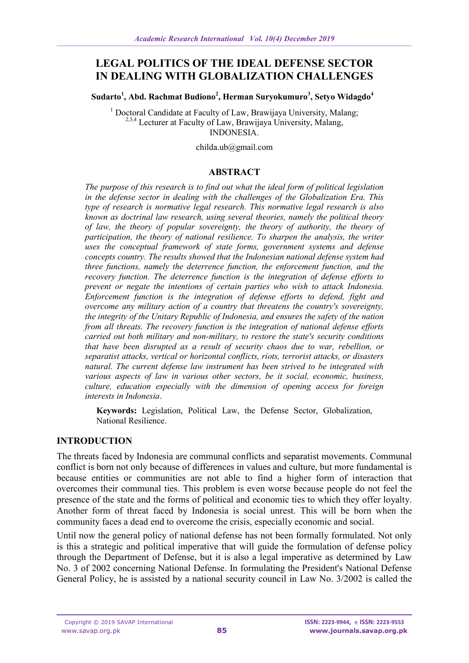# **LEGAL POLITICS OF THE IDEAL DEFENSE SECTOR IN DEALING WITH GLOBALIZATION CHALLENGES**

**Sudarto<sup>1</sup> , Abd. Rachmat Budiono<sup>2</sup> , Herman Suryokumuro<sup>3</sup> , Setyo Widagdo<sup>4</sup>**

<sup>1</sup> Doctoral Candidate at Faculty of Law, Brawijaya University, Malang; <sup>2,3,4</sup> Lecturer at Faculty of Law, Brawijaya University, Malang, INDONESIA.

childa.ub@gmail.com

# **ABSTRACT**

*The purpose of this research is to find out what the ideal form of political legislation in the defense sector in dealing with the challenges of the Globalization Era. This type of research is normative legal research. This normative legal research is also known as doctrinal law research, using several theories, namely the political theory of law, the theory of popular sovereignty, the theory of authority, the theory of participation, the theory of national resilience. To sharpen the analysis, the writer uses the conceptual framework of state forms, government systems and defense concepts country. The results showed that the Indonesian national defense system had three functions, namely the deterrence function, the enforcement function, and the recovery function. The deterrence function is the integration of defense efforts to prevent or negate the intentions of certain parties who wish to attack Indonesia. Enforcement function is the integration of defense efforts to defend, fight and overcome any military action of a country that threatens the country's sovereignty, the integrity of the Unitary Republic of Indonesia, and ensures the safety of the nation from all threats. The recovery function is the integration of national defense efforts carried out both military and non-military, to restore the state's security conditions that have been disrupted as a result of security chaos due to war, rebellion, or separatist attacks, vertical or horizontal conflicts, riots, terrorist attacks, or disasters natural. The current defense law instrument has been strived to be integrated with various aspects of law in various other sectors, be it social, economic, business, culture, education especially with the dimension of opening access for foreign interests in Indonesia*.

**Keywords:** Legislation, Political Law, the Defense Sector, Globalization, National Resilience.

# **INTRODUCTION**

The threats faced by Indonesia are communal conflicts and separatist movements. Communal conflict is born not only because of differences in values and culture, but more fundamental is because entities or communities are not able to find a higher form of interaction that overcomes their communal ties. This problem is even worse because people do not feel the presence of the state and the forms of political and economic ties to which they offer loyalty. Another form of threat faced by Indonesia is social unrest. This will be born when the community faces a dead end to overcome the crisis, especially economic and social.

Until now the general policy of national defense has not been formally formulated. Not only is this a strategic and political imperative that will guide the formulation of defense policy through the Department of Defense, but it is also a legal imperative as determined by Law No. 3 of 2002 concerning National Defense. In formulating the President's National Defense General Policy, he is assisted by a national security council in Law No. 3/2002 is called the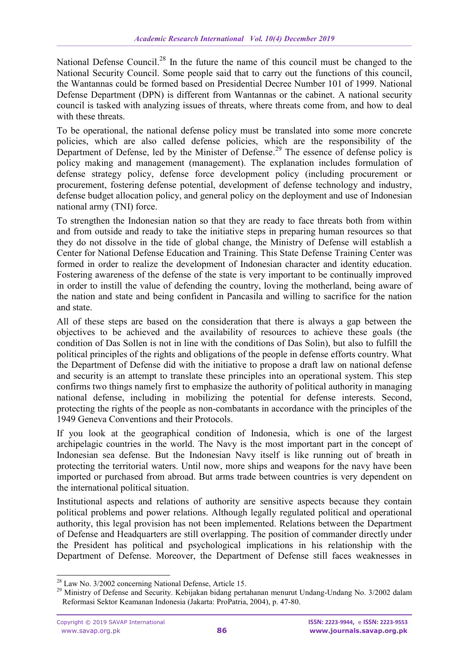National Defense Council.<sup>28</sup> In the future the name of this council must be changed to the National Security Council. Some people said that to carry out the functions of this council, the Wantannas could be formed based on Presidential Decree Number 101 of 1999. National Defense Department (DPN) is different from Wantannas or the cabinet. A national security council is tasked with analyzing issues of threats, where threats come from, and how to deal with these threats.

To be operational, the national defense policy must be translated into some more concrete policies, which are also called defense policies, which are the responsibility of the Department of Defense, led by the Minister of Defense.<sup>29</sup> The essence of defense policy is policy making and management (management). The explanation includes formulation of defense strategy policy, defense force development policy (including procurement or procurement, fostering defense potential, development of defense technology and industry, defense budget allocation policy, and general policy on the deployment and use of Indonesian national army (TNI) force.

To strengthen the Indonesian nation so that they are ready to face threats both from within and from outside and ready to take the initiative steps in preparing human resources so that they do not dissolve in the tide of global change, the Ministry of Defense will establish a Center for National Defense Education and Training. This State Defense Training Center was formed in order to realize the development of Indonesian character and identity education. Fostering awareness of the defense of the state is very important to be continually improved in order to instill the value of defending the country, loving the motherland, being aware of the nation and state and being confident in Pancasila and willing to sacrifice for the nation and state.

All of these steps are based on the consideration that there is always a gap between the objectives to be achieved and the availability of resources to achieve these goals (the condition of Das Sollen is not in line with the conditions of Das Solin), but also to fulfill the political principles of the rights and obligations of the people in defense efforts country. What the Department of Defense did with the initiative to propose a draft law on national defense and security is an attempt to translate these principles into an operational system. This step confirms two things namely first to emphasize the authority of political authority in managing national defense, including in mobilizing the potential for defense interests. Second, protecting the rights of the people as non-combatants in accordance with the principles of the 1949 Geneva Conventions and their Protocols.

If you look at the geographical condition of Indonesia, which is one of the largest archipelagic countries in the world. The Navy is the most important part in the concept of Indonesian sea defense. But the Indonesian Navy itself is like running out of breath in protecting the territorial waters. Until now, more ships and weapons for the navy have been imported or purchased from abroad. But arms trade between countries is very dependent on the international political situation.

Institutional aspects and relations of authority are sensitive aspects because they contain political problems and power relations. Although legally regulated political and operational authority, this legal provision has not been implemented. Relations between the Department of Defense and Headquarters are still overlapping. The position of commander directly under the President has political and psychological implications in his relationship with the Department of Defense. Moreover, the Department of Defense still faces weaknesses in

1

<sup>&</sup>lt;sup>28</sup> Law No. 3/2002 concerning National Defense, Article 15.

<sup>&</sup>lt;sup>29</sup> Ministry of Defense and Security. Kebijakan bidang pertahanan menurut Undang-Undang No. 3/2002 dalam Reformasi Sektor Keamanan Indonesia (Jakarta: ProPatria, 2004), p. 47-80.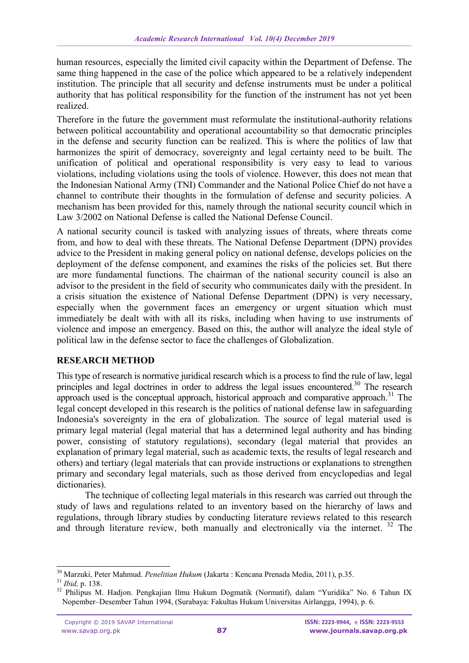human resources, especially the limited civil capacity within the Department of Defense. The same thing happened in the case of the police which appeared to be a relatively independent institution. The principle that all security and defense instruments must be under a political authority that has political responsibility for the function of the instrument has not yet been realized.

Therefore in the future the government must reformulate the institutional-authority relations between political accountability and operational accountability so that democratic principles in the defense and security function can be realized. This is where the politics of law that harmonizes the spirit of democracy, sovereignty and legal certainty need to be built. The unification of political and operational responsibility is very easy to lead to various violations, including violations using the tools of violence. However, this does not mean that the Indonesian National Army (TNI) Commander and the National Police Chief do not have a channel to contribute their thoughts in the formulation of defense and security policies. A mechanism has been provided for this, namely through the national security council which in Law 3/2002 on National Defense is called the National Defense Council.

A national security council is tasked with analyzing issues of threats, where threats come from, and how to deal with these threats. The National Defense Department (DPN) provides advice to the President in making general policy on national defense, develops policies on the deployment of the defense component, and examines the risks of the policies set. But there are more fundamental functions. The chairman of the national security council is also an advisor to the president in the field of security who communicates daily with the president. In a crisis situation the existence of National Defense Department (DPN) is very necessary, especially when the government faces an emergency or urgent situation which must immediately be dealt with with all its risks, including when having to use instruments of violence and impose an emergency. Based on this, the author will analyze the ideal style of political law in the defense sector to face the challenges of Globalization.

## **RESEARCH METHOD**

This type of research is normative juridical research which is a process to find the rule of law, legal principles and legal doctrines in order to address the legal issues encountered.<sup>30</sup> The research approach used is the conceptual approach, historical approach and comparative approach.<sup>31</sup> The legal concept developed in this research is the politics of national defense law in safeguarding Indonesia's sovereignty in the era of globalization. The source of legal material used is primary legal material (legal material that has a determined legal authority and has binding power, consisting of statutory regulations), secondary (legal material that provides an explanation of primary legal material, such as academic texts, the results of legal research and others) and tertiary (legal materials that can provide instructions or explanations to strengthen primary and secondary legal materials, such as those derived from encyclopedias and legal dictionaries).

The technique of collecting legal materials in this research was carried out through the study of laws and regulations related to an inventory based on the hierarchy of laws and regulations, through library studies by conducting literature reviews related to this research and through literature review, both manually and electronically via the internet.<sup>32</sup> The

-

<sup>30</sup> Marzuki, Peter Mahmud. *Penelitian Hukum* (Jakarta : Kencana Prenada Media, 2011), p.35.

<sup>31</sup> *Ibid,* p. 138.

<sup>&</sup>lt;sup>32</sup> Philipus M. Hadjon. Pengkajian Ilmu Hukum Dogmatik (Normatif), dalam "Yuridika" No. 6 Tahun IX Nopember–Desember Tahun 1994, (Surabaya: Fakultas Hukum Universitas Airlangga, 1994), p. 6.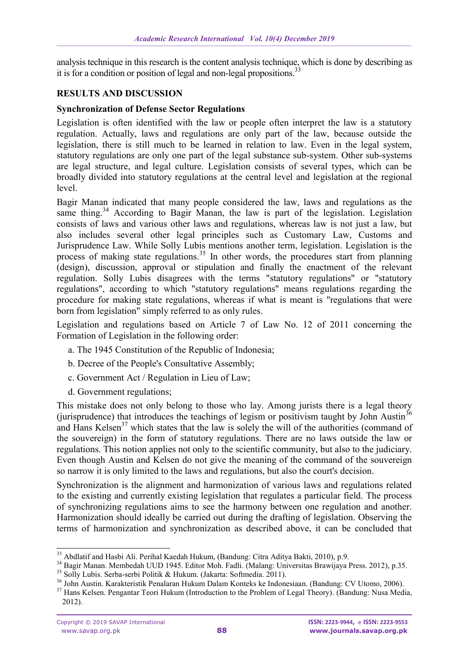analysis technique in this research is the content analysis technique, which is done by describing as it is for a condition or position of legal and non-legal propositions.<sup>33</sup>

## **RESULTS AND DISCUSSION**

## **Synchronization of Defense Sector Regulations**

Legislation is often identified with the law or people often interpret the law is a statutory regulation. Actually, laws and regulations are only part of the law, because outside the legislation, there is still much to be learned in relation to law. Even in the legal system, statutory regulations are only one part of the legal substance sub-system. Other sub-systems are legal structure, and legal culture. Legislation consists of several types, which can be broadly divided into statutory regulations at the central level and legislation at the regional level.

Bagir Manan indicated that many people considered the law, laws and regulations as the same thing.<sup>34</sup> According to Bagir Manan, the law is part of the legislation. Legislation consists of laws and various other laws and regulations, whereas law is not just a law, but also includes several other legal principles such as Customary Law, Customs and Jurisprudence Law. While Solly Lubis mentions another term, legislation. Legislation is the process of making state regulations.<sup>35</sup> In other words, the procedures start from planning (design), discussion, approval or stipulation and finally the enactment of the relevant regulation. Solly Lubis disagrees with the terms "statutory regulations" or "statutory regulations", according to which "statutory regulations" means regulations regarding the procedure for making state regulations, whereas if what is meant is "regulations that were born from legislation" simply referred to as only rules.

Legislation and regulations based on Article 7 of Law No. 12 of 2011 concerning the Formation of Legislation in the following order:

- a. The 1945 Constitution of the Republic of Indonesia;
- b. Decree of the People's Consultative Assembly;
- c. Government Act / Regulation in Lieu of Law;
- d. Government regulations;

This mistake does not only belong to those who lay. Among jurists there is a legal theory (jurisprudence) that introduces the teachings of legism or positivism taught by John Austin<sup>36</sup> and Hans Kelsen<sup>37</sup> which states that the law is solely the will of the authorities (command of the souvereign) in the form of statutory regulations. There are no laws outside the law or regulations. This notion applies not only to the scientific community, but also to the judiciary. Even though Austin and Kelsen do not give the meaning of the command of the souvereign so narrow it is only limited to the laws and regulations, but also the court's decision.

Synchronization is the alignment and harmonization of various laws and regulations related to the existing and currently existing legislation that regulates a particular field. The process of synchronizing regulations aims to see the harmony between one regulation and another. Harmonization should ideally be carried out during the drafting of legislation. Observing the terms of harmonization and synchronization as described above, it can be concluded that

-

<sup>&</sup>lt;sup>33</sup> Abdlatif and Hasbi Ali. Perihal Kaedah Hukum, (Bandung: Citra Aditya Bakti, 2010), p.9.

<sup>34</sup> Bagir Manan. Membedah UUD 1945. Editor Moh. Fadli. (Malang: Universitas Brawijaya Press. 2012), p.35.

<sup>&</sup>lt;sup>35</sup> Solly Lubis. Serba-serbi Politik & Hukum. (Jakarta: Softmedia. 2011).

<sup>36</sup> John Austin. Karakteristik Penalaran Hukum Dalam Konteks ke Indonesiaan. (Bandung: CV Utomo, 2006).

<sup>&</sup>lt;sup>37</sup> Hans Kelsen. Pengantar Teori Hukum (Introduction to the Problem of Legal Theory). (Bandung: Nusa Media, 2012).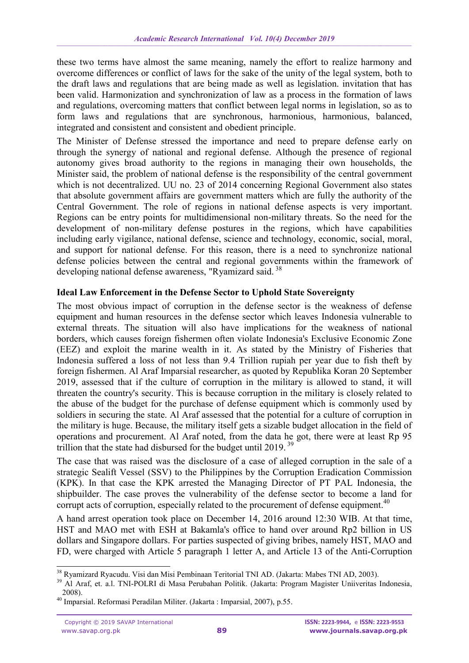these two terms have almost the same meaning, namely the effort to realize harmony and overcome differences or conflict of laws for the sake of the unity of the legal system, both to the draft laws and regulations that are being made as well as legislation. invitation that has been valid. Harmonization and synchronization of law as a process in the formation of laws and regulations, overcoming matters that conflict between legal norms in legislation, so as to form laws and regulations that are synchronous, harmonious, harmonious, balanced, integrated and consistent and consistent and obedient principle.

The Minister of Defense stressed the importance and need to prepare defense early on through the synergy of national and regional defense. Although the presence of regional autonomy gives broad authority to the regions in managing their own households, the Minister said, the problem of national defense is the responsibility of the central government which is not decentralized. UU no. 23 of 2014 concerning Regional Government also states that absolute government affairs are government matters which are fully the authority of the Central Government. The role of regions in national defense aspects is very important. Regions can be entry points for multidimensional non-military threats. So the need for the development of non-military defense postures in the regions, which have capabilities including early vigilance, national defense, science and technology, economic, social, moral, and support for national defense. For this reason, there is a need to synchronize national defense policies between the central and regional governments within the framework of developing national defense awareness, "Ryamizard said.<sup>38</sup>

# **Ideal Law Enforcement in the Defense Sector to Uphold State Sovereignty**

The most obvious impact of corruption in the defense sector is the weakness of defense equipment and human resources in the defense sector which leaves Indonesia vulnerable to external threats. The situation will also have implications for the weakness of national borders, which causes foreign fishermen often violate Indonesia's Exclusive Economic Zone (EEZ) and exploit the marine wealth in it. As stated by the Ministry of Fisheries that Indonesia suffered a loss of not less than 9.4 Trillion rupiah per year due to fish theft by foreign fishermen. Al Araf Imparsial researcher, as quoted by Republika Koran 20 September 2019, assessed that if the culture of corruption in the military is allowed to stand, it will threaten the country's security. This is because corruption in the military is closely related to the abuse of the budget for the purchase of defense equipment which is commonly used by soldiers in securing the state. Al Araf assessed that the potential for a culture of corruption in the military is huge. Because, the military itself gets a sizable budget allocation in the field of operations and procurement. Al Araf noted, from the data he got, there were at least Rp 95 trillion that the state had disbursed for the budget until 2019.<sup>39</sup>

The case that was raised was the disclosure of a case of alleged corruption in the sale of a strategic Sealift Vessel (SSV) to the Philippines by the Corruption Eradication Commission (KPK). In that case the KPK arrested the Managing Director of PT PAL Indonesia, the shipbuilder. The case proves the vulnerability of the defense sector to become a land for corrupt acts of corruption, especially related to the procurement of defense equipment.<sup>40</sup>

A hand arrest operation took place on December 14, 2016 around 12:30 WIB. At that time, HST and MAO met with ESH at Bakamla's office to hand over around Rp2 billion in US dollars and Singapore dollars. For parties suspected of giving bribes, namely HST, MAO and FD, were charged with Article 5 paragraph 1 letter A, and Article 13 of the Anti-Corruption

-

<sup>&</sup>lt;sup>38</sup> Ryamizard Ryacudu. Visi dan Misi Pembinaan Teritorial TNI AD. (Jakarta: Mabes TNI AD, 2003).

<sup>&</sup>lt;sup>39</sup> Al Araf, et. a.l. TNI-POLRI di Masa Perubahan Politik. (Jakarta: Program Magister Uniiveritas Indonesia, 2008).

<sup>40</sup> Imparsial. Reformasi Peradilan Militer. (Jakarta : Imparsial, 2007), p.55.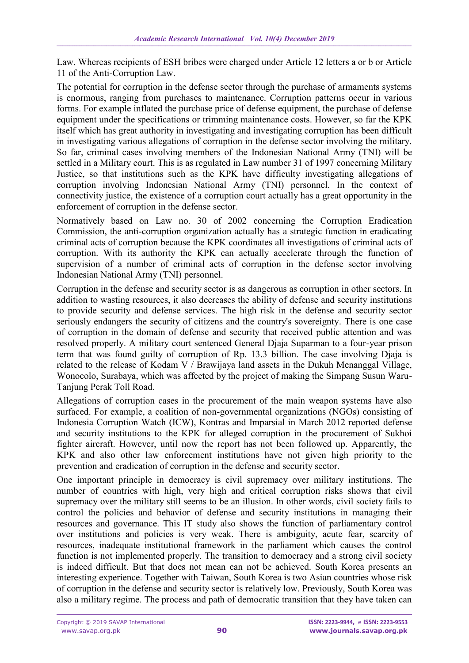Law. Whereas recipients of ESH bribes were charged under Article 12 letters a or b or Article 11 of the Anti-Corruption Law.

The potential for corruption in the defense sector through the purchase of armaments systems is enormous, ranging from purchases to maintenance. Corruption patterns occur in various forms. For example inflated the purchase price of defense equipment, the purchase of defense equipment under the specifications or trimming maintenance costs. However, so far the KPK itself which has great authority in investigating and investigating corruption has been difficult in investigating various allegations of corruption in the defense sector involving the military. So far, criminal cases involving members of the Indonesian National Army (TNI) will be settled in a Military court. This is as regulated in Law number 31 of 1997 concerning Military Justice, so that institutions such as the KPK have difficulty investigating allegations of corruption involving Indonesian National Army (TNI) personnel. In the context of connectivity justice, the existence of a corruption court actually has a great opportunity in the enforcement of corruption in the defense sector.

Normatively based on Law no. 30 of 2002 concerning the Corruption Eradication Commission, the anti-corruption organization actually has a strategic function in eradicating criminal acts of corruption because the KPK coordinates all investigations of criminal acts of corruption. With its authority the KPK can actually accelerate through the function of supervision of a number of criminal acts of corruption in the defense sector involving Indonesian National Army (TNI) personnel.

Corruption in the defense and security sector is as dangerous as corruption in other sectors. In addition to wasting resources, it also decreases the ability of defense and security institutions to provide security and defense services. The high risk in the defense and security sector seriously endangers the security of citizens and the country's sovereignty. There is one case of corruption in the domain of defense and security that received public attention and was resolved properly. A military court sentenced General Djaja Suparman to a four-year prison term that was found guilty of corruption of Rp. 13.3 billion. The case involving Djaja is related to the release of Kodam V / Brawijaya land assets in the Dukuh Menanggal Village, Wonocolo, Surabaya, which was affected by the project of making the Simpang Susun Waru-Tanjung Perak Toll Road.

Allegations of corruption cases in the procurement of the main weapon systems have also surfaced. For example, a coalition of non-governmental organizations (NGOs) consisting of Indonesia Corruption Watch (ICW), Kontras and Imparsial in March 2012 reported defense and security institutions to the KPK for alleged corruption in the procurement of Sukhoi fighter aircraft. However, until now the report has not been followed up. Apparently, the KPK and also other law enforcement institutions have not given high priority to the prevention and eradication of corruption in the defense and security sector.

One important principle in democracy is civil supremacy over military institutions. The number of countries with high, very high and critical corruption risks shows that civil supremacy over the military still seems to be an illusion. In other words, civil society fails to control the policies and behavior of defense and security institutions in managing their resources and governance. This IT study also shows the function of parliamentary control over institutions and policies is very weak. There is ambiguity, acute fear, scarcity of resources, inadequate institutional framework in the parliament which causes the control function is not implemented properly. The transition to democracy and a strong civil society is indeed difficult. But that does not mean can not be achieved. South Korea presents an interesting experience. Together with Taiwan, South Korea is two Asian countries whose risk of corruption in the defense and security sector is relatively low. Previously, South Korea was also a military regime. The process and path of democratic transition that they have taken can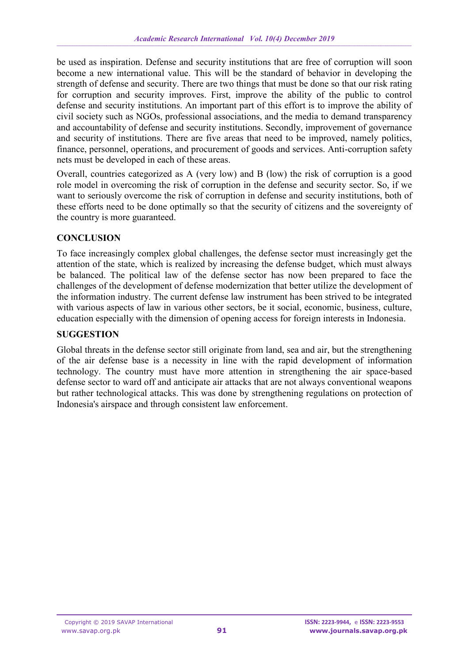be used as inspiration. Defense and security institutions that are free of corruption will soon become a new international value. This will be the standard of behavior in developing the strength of defense and security. There are two things that must be done so that our risk rating for corruption and security improves. First, improve the ability of the public to control defense and security institutions. An important part of this effort is to improve the ability of civil society such as NGOs, professional associations, and the media to demand transparency and accountability of defense and security institutions. Secondly, improvement of governance and security of institutions. There are five areas that need to be improved, namely politics, finance, personnel, operations, and procurement of goods and services. Anti-corruption safety nets must be developed in each of these areas.

Overall, countries categorized as A (very low) and B (low) the risk of corruption is a good role model in overcoming the risk of corruption in the defense and security sector. So, if we want to seriously overcome the risk of corruption in defense and security institutions, both of these efforts need to be done optimally so that the security of citizens and the sovereignty of the country is more guaranteed.

# **CONCLUSION**

To face increasingly complex global challenges, the defense sector must increasingly get the attention of the state, which is realized by increasing the defense budget, which must always be balanced. The political law of the defense sector has now been prepared to face the challenges of the development of defense modernization that better utilize the development of the information industry. The current defense law instrument has been strived to be integrated with various aspects of law in various other sectors, be it social, economic, business, culture, education especially with the dimension of opening access for foreign interests in Indonesia.

# **SUGGESTION**

Global threats in the defense sector still originate from land, sea and air, but the strengthening of the air defense base is a necessity in line with the rapid development of information technology. The country must have more attention in strengthening the air space-based defense sector to ward off and anticipate air attacks that are not always conventional weapons but rather technological attacks. This was done by strengthening regulations on protection of Indonesia's airspace and through consistent law enforcement.